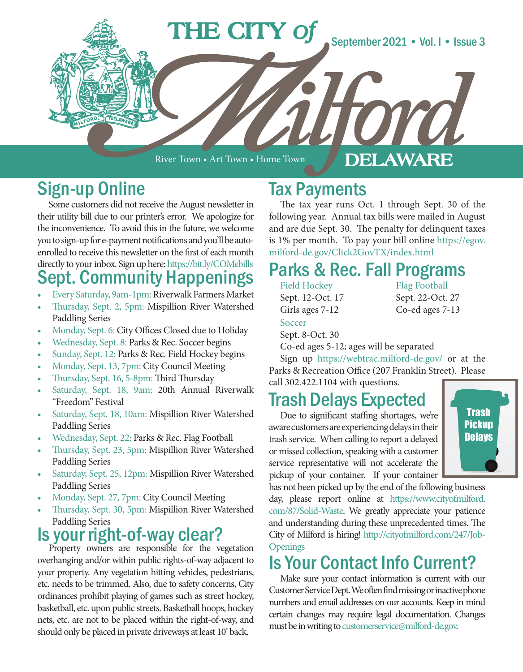

River Town • Art Town • Home Town

#### DELAWARE

## Sign-up Online

Some customers did not receive the August newsletter in their utility bill due to our printer's error. We apologize for the inconvenience. To avoid this in the future, we welcome you to sign-up for e-payment notifications and you'll be autoenrolled to receive this newsletter on the first of each month directly to your inbox. Sign up here: https://bit.ly/COMebills

### Sept. Community Happenings

- Every Saturday, 9am-1pm: Riverwalk Farmers Market
- Thursday, Sept. 2, 5pm: Mispillion River Watershed Paddling Series
- Monday, Sept. 6: City Offices Closed due to Holiday
- Wednesday, Sept. 8: Parks & Rec. Soccer begins
- Sunday, Sept. 12: Parks & Rec. Field Hockey begins
- Monday, Sept. 13, 7pm: City Council Meeting
- Thursday, Sept. 16, 5-8pm: Third Thursday
- Saturday, Sept. 18, 9am: 20th Annual Riverwalk "Freedom" Festival
- Saturday, Sept. 18, 10am: Mispillion River Watershed Paddling Series
- Wednesday, Sept. 22: Parks & Rec. Flag Football
- Thursday, Sept. 23, 5pm: Mispillion River Watershed Paddling Series
- Saturday, Sept. 25, 12pm: Mispillion River Watershed Paddling Series
- Monday, Sept. 27, 7pm: City Council Meeting
- Thursday, Sept. 30, 5pm: Mispillion River Watershed Paddling Series

## **IS your right-of-way clear?** Property owners are responsible for the vegetation

overhanging and/or within public rights-of-way adjacent to your property. Any vegetation hitting vehicles, pedestrians, etc. needs to be trimmed. Also, due to safety concerns, City ordinances prohibit playing of games such as street hockey, basketball, etc. upon public streets. Basketball hoops, hockey nets, etc. are not to be placed within the right-of-way, and should only be placed in private driveways at least 10' back.

#### Tax Payments

The tax year runs Oct. 1 through Sept. 30 of the following year. Annual tax bills were mailed in August and are due Sept. 30. The penalty for delinquent taxes is 1% per month. To pay your bill online https://egov. milford-de.gov/Click2GovTX/index.html

#### Parks & Rec. Fall Programs

Field Hockey Sept. 12-Oct. 17 Girls ages 7-12 Soccer Sept. 8-Oct. 30

Flag Football Sept. 22-Oct. 27 Co-ed ages 7-13

Co-ed ages 5-12; ages will be separated

Sign up https://webtrac.milford-de.gov/ or at the Parks & Recreation Office (207 Franklin Street). Please call 302.422.1104 with questions.

### Trash Delays Expected

Due to significant staffing shortages, we're aware customers are experiencing delays in their trash service. When calling to report a delayed or missed collection, speaking with a customer service representative will not accelerate the pickup of your container. If your container



has not been picked up by the end of the following business day, please report online at https://www.cityofmilford. com/87/Solid-Waste. We greatly appreciate your patience and understanding during these unprecedented times. The City of Milford is hiring! http://cityofmilford.com/247/Job-**Openings** 

## Is Your Contact Info Current?

Make sure your contact information is current with our Customer Service Dept. We often find missing or inactive phone numbers and email addresses on our accounts. Keep in mind certain changes may require legal documentation. Changes must be in writing to customerservice@milford-de.gov.